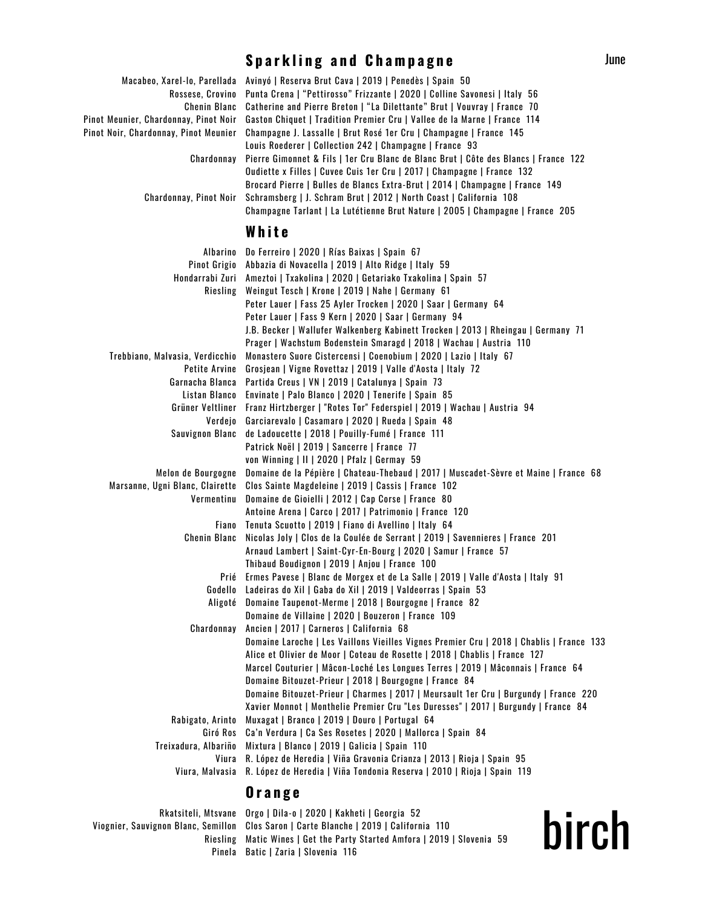## **S p a r k l i n g a n d C h a m p a g n e**

| Chenin Blanc                          | Macabeo, Xarel-lo, Parellada Avinyó   Reserva Brut Cava   2019   Penedès   Spain 50<br>Rossese, Crovino Punta Crena   "Pettirosso" Frizzante   2020   Colline Savonesi   Italy 56<br>Catherine and Pierre Breton   "La Dilettante" Brut   Vouvray   France 70 |
|---------------------------------------|---------------------------------------------------------------------------------------------------------------------------------------------------------------------------------------------------------------------------------------------------------------|
| Pinot Meunier, Chardonnay, Pinot Noir | Gaston Chiquet   Tradition Premier Cru   Vallee de la Marne   France 114                                                                                                                                                                                      |
| Pinot Noir, Chardonnay, Pinot Meunier | Champagne J. Lassalle   Brut Rosé 1er Cru   Champagne   France 145                                                                                                                                                                                            |
|                                       | Louis Roederer   Collection 242   Champagne   France 93                                                                                                                                                                                                       |
| Chardonnav                            | Pierre Gimonnet & Fils   1er Cru Blanc de Blanc Brut   Côte des Blancs   France 122                                                                                                                                                                           |
|                                       | Oudiette x Filles   Cuvee Cuis 1er Cru   2017   Champagne   France 132                                                                                                                                                                                        |
|                                       | Brocard Pierre   Bulles de Blancs Extra-Brut   2014   Champagne   France 149                                                                                                                                                                                  |
| Chardonnay, Pinot Noir                | Schramsberg   J. Schram Brut   2012   North Coast   California 108<br>Champagne Tarlant   La Lutétienne Brut Nature   2005   Champagne   France 205                                                                                                           |
|                                       | White                                                                                                                                                                                                                                                         |
|                                       | Albarino Do Ferreiro   2020   Rías Baixas   Spain 67                                                                                                                                                                                                          |
|                                       | Pinot Grigio Abbazia di Novacella   2019   Alto Ridge   Italy 59                                                                                                                                                                                              |
|                                       | Hondarrabi Zuri Ameztoi   Txakolina   2020   Getariako Txakolina   Spain 57                                                                                                                                                                                   |
| Riesling                              | Weingut Tesch   Krone   2019   Nahe   Germany 61                                                                                                                                                                                                              |
|                                       | Peter Lauer   Fass 25 Ayler Trocken   2020   Saar   Germany 64                                                                                                                                                                                                |
|                                       | Peter Lauer I Fass 9 Kern I 2020 I Saar I Germany 94                                                                                                                                                                                                          |

|                                 | I GLGI LAUGI   IASS ZJAYIGI IIULNGII   ZUZU   JAAI   UGIIIIAIIY UT                         |
|---------------------------------|--------------------------------------------------------------------------------------------|
|                                 | Peter Lauer   Fass 9 Kern   2020   Saar   Germany 94                                       |
|                                 | J.B. Becker   Wallufer Walkenberg Kabinett Trocken   2013   Rheingau   Germany 71          |
|                                 | Prager   Wachstum Bodenstein Smaragd   2018   Wachau   Austria 110                         |
| Trebbiano, Malvasia, Verdicchio | Monastero Suore Cistercensi   Coenobium   2020   Lazio   Italy 67                          |
| Petite Arvine                   | Grosjean   Vigne Rovettaz   2019   Valle d'Aosta   Italy 72                                |
|                                 | Garnacha Blanca Partida Creus   VN   2019   Catalunya   Spain 73                           |
| Listan Blanco                   | Envinate   Palo Blanco   2020   Tenerife   Spain 85                                        |
| Grüner Veltliner                | Franz Hirtzberger   "Rotes Tor" Federspiel   2019   Wachau   Austria 94                    |
| Verdejo                         | Garciarevalo   Casamaro   2020   Rueda   Spain 48                                          |
|                                 | Sauvignon Blanc de Ladoucette   2018   Pouilly-Fumé   France 111                           |
|                                 | Patrick Noël   2019   Sancerre   France 77                                                 |
|                                 | von Winning   II   2020   Pfalz   Germay 59                                                |
| Melon de Bourgogne              | Domaine de la Pépière   Chateau-Thebaud   2017   Muscadet-Sèvre et Maine   France 68       |
| Marsanne, Ugni Blanc, Clairette | Clos Sainte Magdeleine   2019   Cassis   France 102                                        |
| Vermentinu                      | Domaine de Gioielli   2012   Cap Corse   France 80                                         |
|                                 | Antoine Arena   Carco   2017   Patrimonio   France 120                                     |
|                                 | Fiano Tenuta Scuotto   2019   Fiano di Avellino   Italy 64                                 |
|                                 | Chenin Blanc Nicolas Joly   Clos de la Coulée de Serrant   2019   Savennieres   France 201 |
|                                 | Arnaud Lambert   Saint-Cyr-En-Bourg   2020   Samur   France 57                             |
|                                 | Thibaud Boudignon   2019   Anjou   France 100                                              |
|                                 | Prié Ermes Pavese   Blanc de Morgex et de La Salle   2019   Valle d'Aosta   Italy 91       |
|                                 | Godello Ladeiras do Xil   Gaba do Xil   2019   Valdeorras   Spain 53                       |
|                                 | Aligoté Domaine Taupenot-Merme   2018   Bourgogne   France 82                              |
|                                 | Domaine de Villaine   2020   Bouzeron   France 109                                         |
| Chardonnay                      | Ancien   2017   Carneros   California 68                                                   |
|                                 | Domaine Laroche   Les Vaillons Vieilles Vignes Premier Cru   2018   Chablis   France 133   |
|                                 | Alice et Olivier de Moor   Coteau de Rosette   2018   Chablis   France 127                 |
|                                 | Marcel Couturier   Mâcon-Loché Les Longues Terres   2019   Mâconnais   France 64           |
|                                 | Domaine Bitouzet-Prieur   2018   Bourgogne   France 84                                     |
|                                 | Domaine Bitouzet-Prieur   Charmes   2017   Meursault 1er Cru   Burgundy   France 220       |
|                                 | Xavier Monnot   Monthelie Premier Cru "Les Duresses"   2017   Burgundy   France 84         |
| Rabigato, Arinto                | Muxagat   Branco   2019   Douro   Portugal 64                                              |
|                                 | Giró Ros Ca'n Verdura   Ca Ses Rosetes   2020   Mallorca   Spain 84                        |
|                                 | Treixadura, Albariño Mixtura   Blanco   2019   Galicia   Spain 110                         |
|                                 | Viura R. López de Heredia   Viña Gravonia Crianza   2013   Rioja   Spain 95                |
|                                 | Viura, Malvasia R. López de Heredia   Viña Tondonia Reserva   2010   Rioja   Spain 119     |
|                                 |                                                                                            |

## **O r a n g e**

| Rkatsiteli, Mtsvane Orgo   Dila-o   2020   Kakheti   Georgia 52                        |
|----------------------------------------------------------------------------------------|
| Viognier, Sauvignon Blanc, Semillon Clos Saron   Carte Blanche   2019   California 110 |
| Riesling Matic Wines   Get the Party Started Amfora   2019   Slovenia 59               |
| Pinela Batic   Zaria   Slovenia 116                                                    |